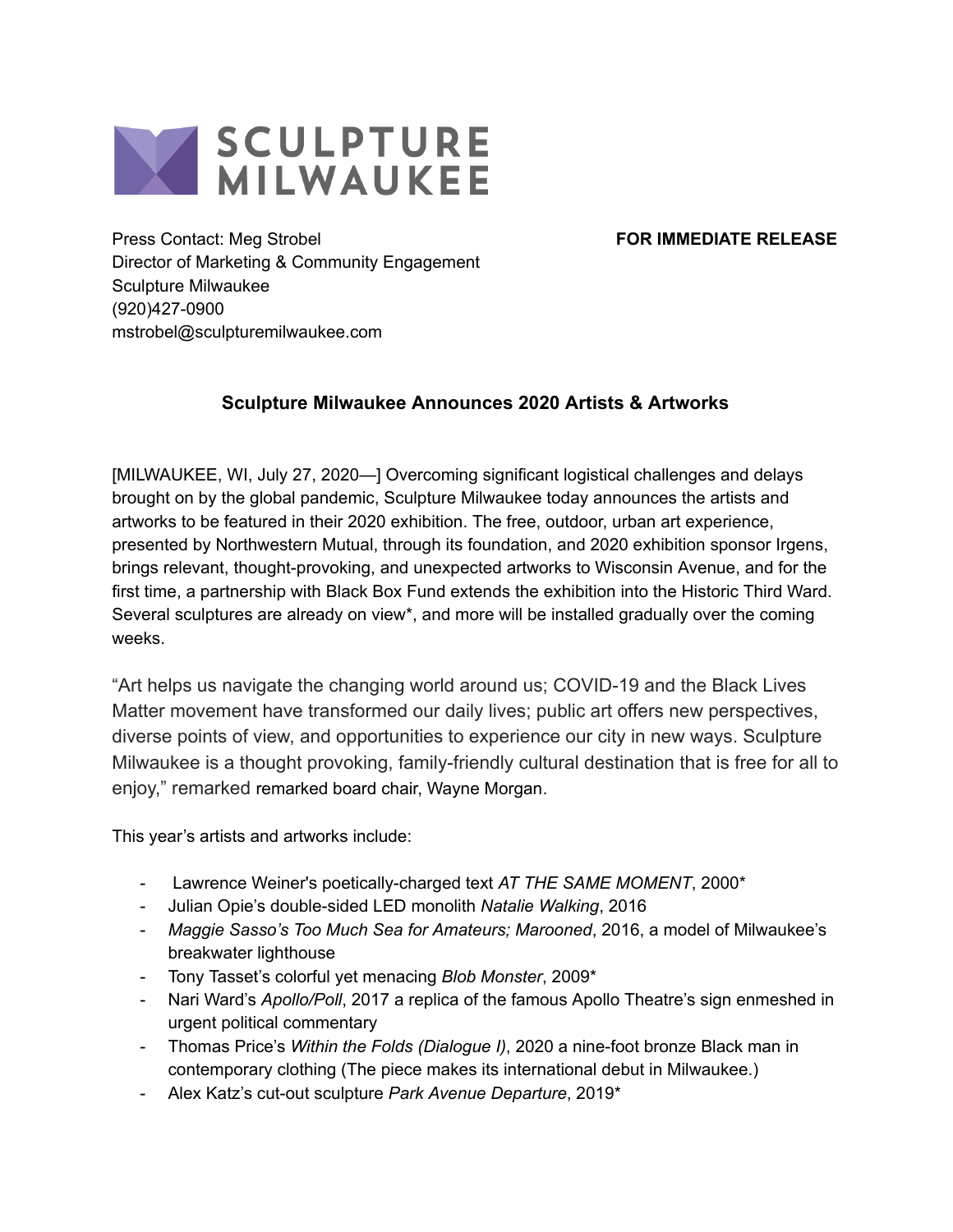

Press Contact: Meg Strobel **FOR IMMEDIATE RELEASE** Director of Marketing & Community Engagement Sculpture Milwaukee (920)427-0900 mstrobel@sculpturemilwaukee.com

## **Sculpture Milwaukee Announces 2020 Artists & Artworks**

[MILWAUKEE, WI, July 27, 2020—] Overcoming significant logistical challenges and delays brought on by the global pandemic, Sculpture Milwaukee today announces the artists and artworks to be featured in their 2020 exhibition. The free, outdoor, urban art experience, presented by Northwestern Mutual, through its foundation, and 2020 exhibition sponsor Irgens, brings relevant, thought-provoking, and unexpected artworks to Wisconsin Avenue, and for the first time, a partnership with Black Box Fund extends the exhibition into the Historic Third Ward. Several sculptures are already on view\*, and more will be installed gradually over the coming weeks.

"Art helps us navigate the changing world around us; COVID-19 and the Black Lives Matter movement have transformed our daily lives; public art offers new perspectives, diverse points of view, and opportunities to experience our city in new ways. Sculpture Milwaukee is a thought provoking, family-friendly cultural destination that is free for all to enjoy," remarked remarked board chair, Wayne Morgan.

This year's artists and artworks include:

- Lawrence Weiner's poetically-charged text *AT THE SAME MOMENT*, 2000\*
- Julian Opie's double-sided LED monolith *Natalie Walking*, 2016
- *Maggie Sasso's Too Much Sea for Amateurs; Marooned*, 2016, a model of Milwaukee's breakwater lighthouse
- Tony Tasset's colorful yet menacing *Blob Monster*, 2009\*
- Nari Ward's *Apollo/Poll*, 2017 a replica of the famous Apollo Theatre's sign enmeshed in urgent political commentary
- Thomas Price's *Within the Folds (Dialogue I)*, 2020 a nine-foot bronze Black man in contemporary clothing (The piece makes its international debut in Milwaukee.)
- Alex Katz's cut-out sculpture *Park Avenue Departure*, 2019\*